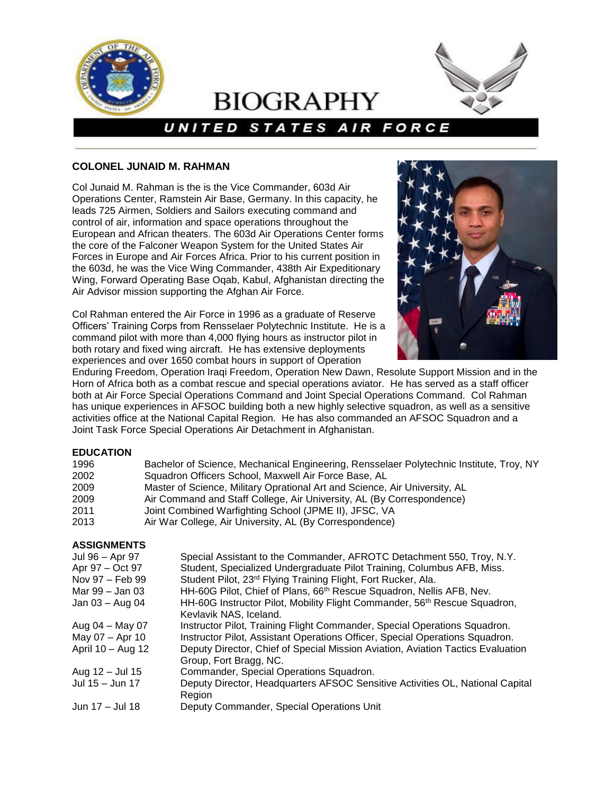

# **BIOGRAPHY**



# UNITED STATES AIR FORCE

# **COLONEL JUNAID M. RAHMAN**

Col Junaid M. Rahman is the is the Vice Commander, 603d Air Operations Center, Ramstein Air Base, Germany. In this capacity, he leads 725 Airmen, Soldiers and Sailors executing command and control of air, information and space operations throughout the European and African theaters. The 603d Air Operations Center forms the core of the Falconer Weapon System for the United States Air Forces in Europe and Air Forces Africa. Prior to his current position in the 603d, he was the Vice Wing Commander, 438th Air Expeditionary Wing, Forward Operating Base Oqab, Kabul, Afghanistan directing the Air Advisor mission supporting the Afghan Air Force.

Col Rahman entered the Air Force in 1996 as a graduate of Reserve Officers' Training Corps from Rensselaer Polytechnic Institute. He is a command pilot with more than 4,000 flying hours as instructor pilot in both rotary and fixed wing aircraft. He has extensive deployments experiences and over 1650 combat hours in support of Operation



Enduring Freedom, Operation Iraqi Freedom, Operation New Dawn, Resolute Support Mission and in the Horn of Africa both as a combat rescue and special operations aviator. He has served as a staff officer both at Air Force Special Operations Command and Joint Special Operations Command. Col Rahman has unique experiences in AFSOC building both a new highly selective squadron, as well as a sensitive activities office at the National Capital Region. He has also commanded an AFSOC Squadron and a Joint Task Force Special Operations Air Detachment in Afghanistan.

#### **EDUCATION**

| 1996 | Bachelor of Science, Mechanical Engineering, Rensselaer Polytechnic Institute, Troy, NY |
|------|-----------------------------------------------------------------------------------------|
| 2002 | Squadron Officers School, Maxwell Air Force Base, AL                                    |
| 2009 | Master of Science, Military Oprational Art and Science, Air University, AL              |
| 2009 | Air Command and Staff College, Air University, AL (By Correspondence)                   |
| 2011 | Joint Combined Warfighting School (JPME II), JFSC, VA                                   |
| 2013 | Air War College, Air University, AL (By Correspondence)                                 |

#### **ASSIGNMENTS**

| Jul 96 - Apr 97   | Special Assistant to the Commander, AFROTC Detachment 550, Troy, N.Y.                 |
|-------------------|---------------------------------------------------------------------------------------|
| Apr 97 - Oct 97   | Student, Specialized Undergraduate Pilot Training, Columbus AFB, Miss.                |
| Nov 97 – Feb 99   | Student Pilot, 23rd Flying Training Flight, Fort Rucker, Ala.                         |
| Mar 99 – Jan 03   | HH-60G Pilot, Chief of Plans, 66 <sup>th</sup> Rescue Squadron, Nellis AFB, Nev.      |
| Jan $03 -$ Aug 04 | HH-60G Instructor Pilot, Mobility Flight Commander, 56 <sup>th</sup> Rescue Squadron, |
|                   | Kevlavik NAS, Iceland.                                                                |
| Aug 04 - May 07   | Instructor Pilot, Training Flight Commander, Special Operations Squadron.             |
| May 07 - Apr 10   | Instructor Pilot, Assistant Operations Officer, Special Operations Squadron.          |
| April 10 - Aug 12 | Deputy Director, Chief of Special Mission Aviation, Aviation Tactics Evaluation       |
|                   | Group, Fort Bragg, NC.                                                                |
| Aug 12 - Jul 15   | Commander, Special Operations Squadron.                                               |
| Jul 15 - Jun 17   | Deputy Director, Headquarters AFSOC Sensitive Activities OL, National Capital         |
|                   | Region                                                                                |
| Jun 17 - Jul 18   | Deputy Commander, Special Operations Unit                                             |